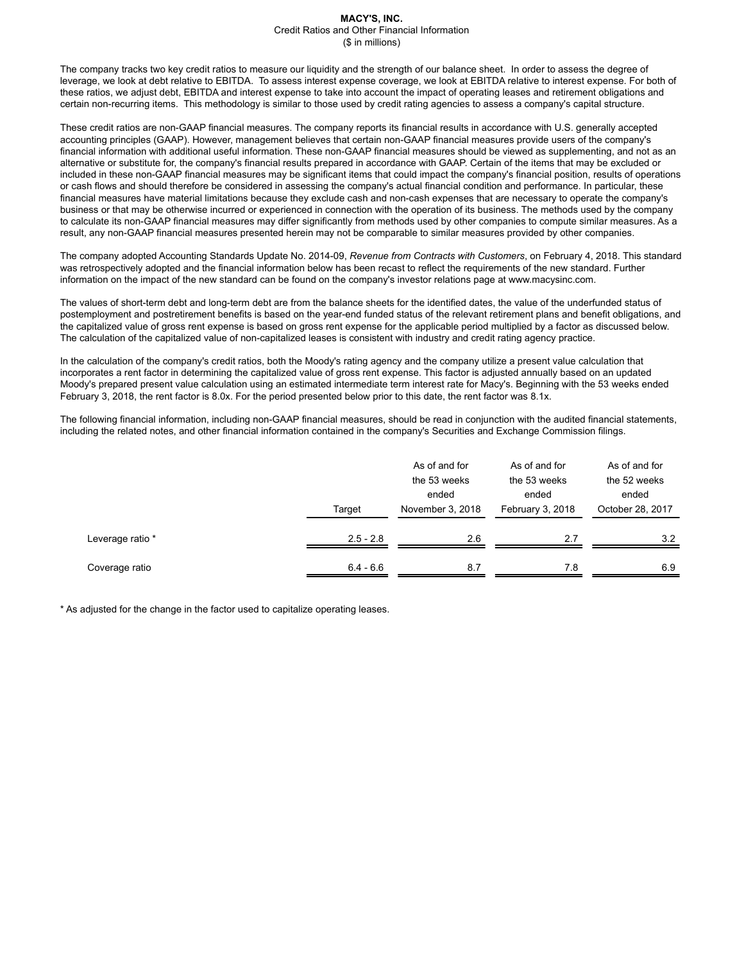The company tracks two key credit ratios to measure our liquidity and the strength of our balance sheet. In order to assess the degree of leverage, we look at debt relative to EBITDA. To assess interest expense coverage, we look at EBITDA relative to interest expense. For both of these ratios, we adjust debt, EBITDA and interest expense to take into account the impact of operating leases and retirement obligations and certain non-recurring items. This methodology is similar to those used by credit rating agencies to assess a company's capital structure.

These credit ratios are non-GAAP financial measures. The company reports its financial results in accordance with U.S. generally accepted accounting principles (GAAP). However, management believes that certain non-GAAP financial measures provide users of the company's financial information with additional useful information. These non-GAAP financial measures should be viewed as supplementing, and not as an alternative or substitute for, the company's financial results prepared in accordance with GAAP. Certain of the items that may be excluded or included in these non-GAAP financial measures may be significant items that could impact the company's financial position, results of operations or cash flows and should therefore be considered in assessing the company's actual financial condition and performance. In particular, these financial measures have material limitations because they exclude cash and non-cash expenses that are necessary to operate the company's business or that may be otherwise incurred or experienced in connection with the operation of its business. The methods used by the company to calculate its non-GAAP financial measures may differ significantly from methods used by other companies to compute similar measures. As a result, any non-GAAP financial measures presented herein may not be comparable to similar measures provided by other companies.

The company adopted Accounting Standards Update No. 2014-09, *Revenue from Contracts with Customers*, on February 4, 2018. This standard was retrospectively adopted and the financial information below has been recast to reflect the requirements of the new standard. Further information on the impact of the new standard can be found on the company's investor relations page at www.macysinc.com.

The values of short-term debt and long-term debt are from the balance sheets for the identified dates, the value of the underfunded status of postemployment and postretirement benefits is based on the year-end funded status of the relevant retirement plans and benefit obligations, and the capitalized value of gross rent expense is based on gross rent expense for the applicable period multiplied by a factor as discussed below. The calculation of the capitalized value of non-capitalized leases is consistent with industry and credit rating agency practice.

In the calculation of the company's credit ratios, both the Moody's rating agency and the company utilize a present value calculation that incorporates a rent factor in determining the capitalized value of gross rent expense. This factor is adjusted annually based on an updated Moody's prepared present value calculation using an estimated intermediate term interest rate for Macy's. Beginning with the 53 weeks ended February 3, 2018, the rent factor is 8.0x. For the period presented below prior to this date, the rent factor was 8.1x.

The following financial information, including non-GAAP financial measures, should be read in conjunction with the audited financial statements, including the related notes, and other financial information contained in the company's Securities and Exchange Commission filings.

|                  | Target      |     | As of and for<br>the 53 weeks<br>ended<br>February 3, 2018 | As of and for<br>the 52 weeks<br>ended<br>October 28, 2017 |  |
|------------------|-------------|-----|------------------------------------------------------------|------------------------------------------------------------|--|
| Leverage ratio * | $2.5 - 2.8$ | 2.6 | 2.7                                                        | 3.2                                                        |  |
| Coverage ratio   | $6.4 - 6.6$ | 8.7 | 7.8                                                        | 6.9                                                        |  |

\* As adjusted for the change in the factor used to capitalize operating leases.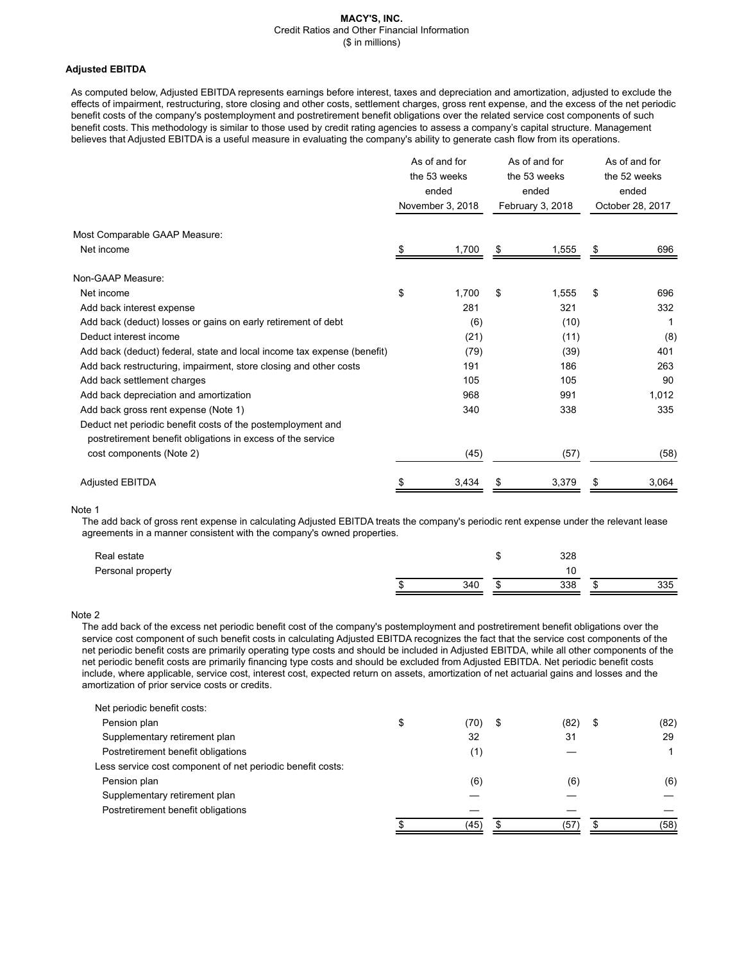# **Adjusted EBITDA**

As computed below, Adjusted EBITDA represents earnings before interest, taxes and depreciation and amortization, adjusted to exclude the effects of impairment, restructuring, store closing and other costs, settlement charges, gross rent expense, and the excess of the net periodic benefit costs of the company's postemployment and postretirement benefit obligations over the related service cost components of such benefit costs. This methodology is similar to those used by credit rating agencies to assess a company's capital structure. Management believes that Adjusted EBITDA is a useful measure in evaluating the company's ability to generate cash flow from its operations.

|                                                                                                                            | As of and for<br>the 53 weeks<br>ended<br>November 3, 2018 |       | As of and for<br>the 53 weeks<br>ended<br>February 3, 2018 |       | As of and for<br>the 52 weeks<br>ended<br>October 28, 2017 |       |
|----------------------------------------------------------------------------------------------------------------------------|------------------------------------------------------------|-------|------------------------------------------------------------|-------|------------------------------------------------------------|-------|
| Most Comparable GAAP Measure:                                                                                              |                                                            |       |                                                            |       |                                                            |       |
| Net income                                                                                                                 |                                                            | 1,700 | S                                                          | 1,555 | \$                                                         | 696   |
| Non-GAAP Measure:                                                                                                          |                                                            |       |                                                            |       |                                                            |       |
| Net income                                                                                                                 | \$                                                         | 1,700 | \$                                                         | 1,555 | \$                                                         | 696   |
| Add back interest expense                                                                                                  |                                                            | 281   |                                                            | 321   |                                                            | 332   |
| Add back (deduct) losses or gains on early retirement of debt                                                              |                                                            | (6)   |                                                            | (10)  |                                                            |       |
| Deduct interest income                                                                                                     |                                                            | (21)  |                                                            | (11)  |                                                            | (8)   |
| Add back (deduct) federal, state and local income tax expense (benefit)                                                    |                                                            | (79)  |                                                            | (39)  |                                                            | 401   |
| Add back restructuring, impairment, store closing and other costs                                                          |                                                            | 191   |                                                            | 186   |                                                            | 263   |
| Add back settlement charges                                                                                                |                                                            | 105   |                                                            | 105   |                                                            | 90    |
| Add back depreciation and amortization                                                                                     |                                                            | 968   |                                                            | 991   |                                                            | 1,012 |
| Add back gross rent expense (Note 1)                                                                                       |                                                            | 340   |                                                            | 338   |                                                            | 335   |
| Deduct net periodic benefit costs of the postemployment and<br>postretirement benefit obligations in excess of the service |                                                            |       |                                                            |       |                                                            |       |
| cost components (Note 2)                                                                                                   |                                                            | (45)  |                                                            | (57)  |                                                            | (58)  |
| <b>Adjusted EBITDA</b>                                                                                                     |                                                            | 3,434 |                                                            | 3,379 |                                                            | 3,064 |

# Note 1

The add back of gross rent expense in calculating Adjusted EBITDA treats the company's periodic rent expense under the relevant lease agreements in a manner consistent with the company's owned properties.

| Real estate       |     | 328 |     |
|-------------------|-----|-----|-----|
| Personal property |     | 10  |     |
|                   | 340 | 338 | 335 |

# Note 2

The add back of the excess net periodic benefit cost of the company's postemployment and postretirement benefit obligations over the service cost component of such benefit costs in calculating Adjusted EBITDA recognizes the fact that the service cost components of the net periodic benefit costs are primarily operating type costs and should be included in Adjusted EBITDA, while all other components of the net periodic benefit costs are primarily financing type costs and should be excluded from Adjusted EBITDA. Net periodic benefit costs include, where applicable, service cost, interest cost, expected return on assets, amortization of net actuarial gains and losses and the amortization of prior service costs or credits.

| Net periodic benefit costs:                                |            |    |      |            |
|------------------------------------------------------------|------------|----|------|------------|
| Pension plan                                               | \$<br>(70) | \$ | (82) | \$<br>(82) |
| Supplementary retirement plan                              | 32         |    | 31   | 29         |
| Postretirement benefit obligations                         | (1)        |    |      |            |
| Less service cost component of net periodic benefit costs: |            |    |      |            |
| Pension plan                                               | (6)        |    | (6)  | (6)        |
| Supplementary retirement plan                              |            |    |      |            |
| Postretirement benefit obligations                         |            |    |      |            |
|                                                            | (45)       | £. | (57  | (58)       |
|                                                            |            |    |      |            |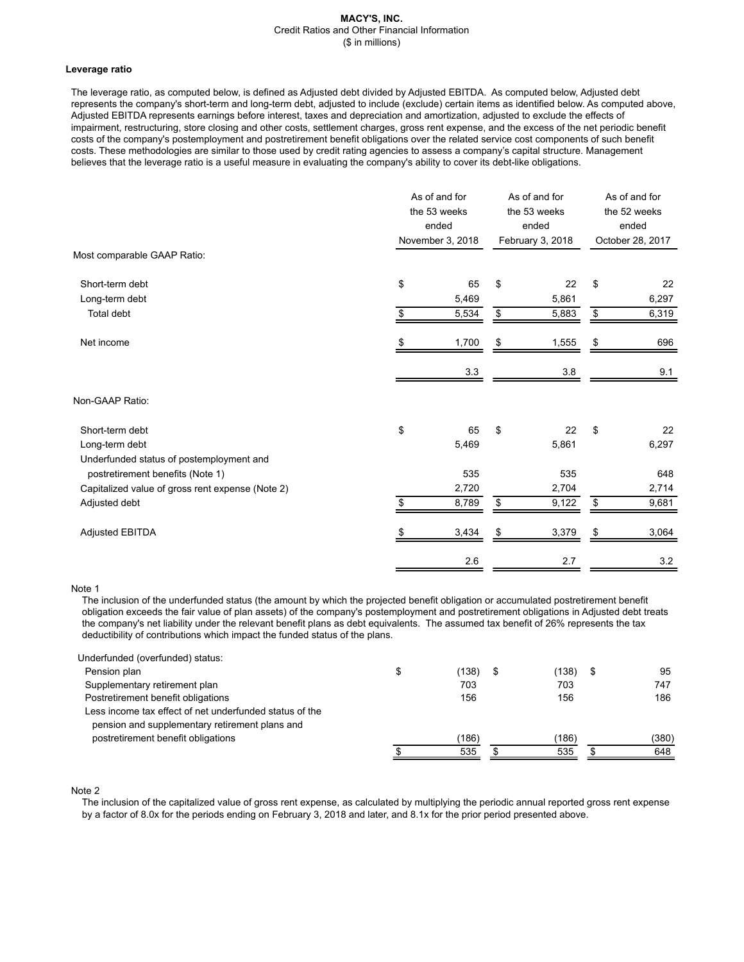# **Leverage ratio**

The leverage ratio, as computed below, is defined as Adjusted debt divided by Adjusted EBITDA. As computed below, Adjusted debt represents the company's short-term and long-term debt, adjusted to include (exclude) certain items as identified below. As computed above, Adjusted EBITDA represents earnings before interest, taxes and depreciation and amortization, adjusted to exclude the effects of impairment, restructuring, store closing and other costs, settlement charges, gross rent expense, and the excess of the net periodic benefit costs of the company's postemployment and postretirement benefit obligations over the related service cost components of such benefit costs. These methodologies are similar to those used by credit rating agencies to assess a company's capital structure. Management believes that the leverage ratio is a useful measure in evaluating the company's ability to cover its debt-like obligations.

|                                                  | As of and for<br>the 53 weeks<br>ended<br>November 3, 2018 |       | As of and for<br>the 53 weeks<br>ended<br>February 3, 2018 | As of and for<br>the 52 weeks<br>ended<br>October 28, 2017 |         |
|--------------------------------------------------|------------------------------------------------------------|-------|------------------------------------------------------------|------------------------------------------------------------|---------|
| Most comparable GAAP Ratio:                      |                                                            |       |                                                            |                                                            |         |
| Short-term debt                                  | \$                                                         | 65    | \$<br>22                                                   | \$                                                         | 22      |
| Long-term debt                                   |                                                            | 5,469 | 5,861                                                      |                                                            | 6,297   |
| Total debt                                       | \$                                                         | 5,534 | \$<br>5,883                                                | \$                                                         | 6,319   |
| Net income                                       | \$                                                         | 1,700 | \$<br>1,555                                                | \$                                                         | 696     |
|                                                  |                                                            | 3.3   | 3.8                                                        |                                                            | 9.1     |
| Non-GAAP Ratio:                                  |                                                            |       |                                                            |                                                            |         |
| Short-term debt                                  | \$                                                         | 65    | \$<br>22                                                   | \$                                                         | 22      |
| Long-term debt                                   |                                                            | 5,469 | 5,861                                                      |                                                            | 6,297   |
| Underfunded status of postemployment and         |                                                            |       |                                                            |                                                            |         |
| postretirement benefits (Note 1)                 |                                                            | 535   | 535                                                        |                                                            | 648     |
| Capitalized value of gross rent expense (Note 2) |                                                            | 2,720 | 2,704                                                      |                                                            | 2,714   |
| Adjusted debt                                    | \$                                                         | 8,789 | \$<br>9,122                                                | \$                                                         | 9,681   |
| <b>Adjusted EBITDA</b>                           |                                                            | 3,434 | \$<br>3,379                                                | \$                                                         | 3,064   |
|                                                  |                                                            | 2.6   | 2.7                                                        |                                                            | $3.2\,$ |

# Note 1

The inclusion of the underfunded status (the amount by which the projected benefit obligation or accumulated postretirement benefit obligation exceeds the fair value of plan assets) of the company's postemployment and postretirement obligations in Adjusted debt treats the company's net liability under the relevant benefit plans as debt equivalents. The assumed tax benefit of 26% represents the tax deductibility of contributions which impact the funded status of the plans.

| \$<br>(138) | S | (138) | \$<br>95 |
|-------------|---|-------|----------|
| 703         |   | 703   | 747      |
| 156         |   | 156   | 186      |
|             |   |       |          |
|             |   |       |          |
| (186)       |   | (186) | (380)    |
| 535         |   | 535   | 648      |
|             |   |       |          |

Note 2

The inclusion of the capitalized value of gross rent expense, as calculated by multiplying the periodic annual reported gross rent expense by a factor of 8.0x for the periods ending on February 3, 2018 and later, and 8.1x for the prior period presented above.